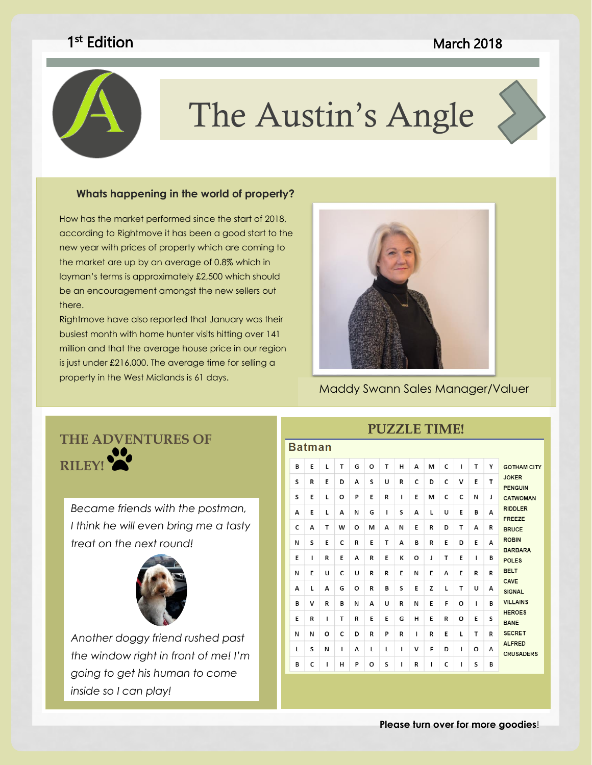### **March 2018**

# <sup>st</sup> Edition



# The Austin's Angle

# these galleries to insert these galleries the cover pages, in the cover pages, in the cover pages,  $\mathbf{r}$

How has the market performed since the start of 2018, new year with prices of property which are coming to the include items that it is not that the galleries include items that it is not that it is not that it is not that it is not that it is not that it is not that it is no the market are up by an average of 0.8% which in the overall look of your coordinate with the overall look of your coordinate with the coordinate with the coordinate with the coordinate with the coordinate with the coordin layman's terms is approximately £2,500 which should according to Rightmove it has been a good start to the be an encouragement amongst the new sellers out there.

 property in the West Midlands is 61 days. Rightmove have also reported that January was their busiest month with home hunter visits hitting over 141 million and that the average house price in our region is just under £216,000. The average time for selling a



Maddy Swann Sales Manager/Valuer

# **THE ADVENTURES OF**  RILEY!

*Became friends with the postman, I think he will even bring me a tasty treat on the next round!*



*Another doggy friend rushed past the window right in front of me! I'm going to get his human to come inside so I can play!*

| PUZZLE TIME!  |   |   |              |   |   |              |              |   |   |   |              |              |   |                                                                                                                                                                                                                                                                                |
|---------------|---|---|--------------|---|---|--------------|--------------|---|---|---|--------------|--------------|---|--------------------------------------------------------------------------------------------------------------------------------------------------------------------------------------------------------------------------------------------------------------------------------|
| <b>Batman</b> |   |   |              |   |   |              |              |   |   |   |              |              |   |                                                                                                                                                                                                                                                                                |
| В             | E | L | T            | G | O | T            | н            | A | M | C | п            | T            | Υ | <b>GOTHAM CITY</b><br><b>JOKER</b><br><b>PENGUIN</b><br><b>CATWOMAN</b><br><b>RIDDLER</b><br><b>FREEZE</b><br><b>BRUCE</b><br><b>ROBIN</b><br><b>BARBARA</b><br><b>POLES</b><br><b>BELT</b><br><b>CAVE</b><br><b>SIGNAL</b><br><b>VILLAINS</b><br><b>HEROES</b><br><b>BANE</b> |
| S             | R | E | D            | A | S | U            | R            | C | D | C | v            | E            | T |                                                                                                                                                                                                                                                                                |
| S             | E | L | O            | P | E | R            | $\mathbf{I}$ | E | м | C | C            | N            | J |                                                                                                                                                                                                                                                                                |
| A             | E | L | A            | N | G | $\mathbf{I}$ | S            | A | г | U | E            | в            | A |                                                                                                                                                                                                                                                                                |
| C             | A | т | W            | O | м | А            | N            | E | R | D | т            | A            | R |                                                                                                                                                                                                                                                                                |
| N             | S | E | C            | R | F | T            | A            | в | R | E | D            | F            | A |                                                                                                                                                                                                                                                                                |
| E             | т | R | E            | A | R | E            | К            | O | J | T | E            | п            | в |                                                                                                                                                                                                                                                                                |
| N             | E | U | c            | U | R | R            | E            | N | E | А | E            | R            | R |                                                                                                                                                                                                                                                                                |
| А             | L | A | G            | O | R | В            | S            | E | Z | L | T            | U            | А |                                                                                                                                                                                                                                                                                |
| в             | v | R | в            | N | A | U            | R            | N | E | F | O            | $\mathbf{I}$ | в |                                                                                                                                                                                                                                                                                |
| E             | R | ı | T            | R | E | E            | G            | н | E | R | O            | E            | S |                                                                                                                                                                                                                                                                                |
| N             | N | O | C            | D | R | P            | R            | г | R | E | $\mathsf{L}$ | т            | R | <b>SECRET</b>                                                                                                                                                                                                                                                                  |
| L             | S | N | $\mathbf{I}$ | А | L | L            | L            | v | F | D | $\mathbf{I}$ | o            | A | <b>ALFRED</b><br><b>CRUSADERS</b>                                                                                                                                                                                                                                              |
| В             | c | ı | н            | P | O | S            | I            | R | ı | c | ı            | S            | в |                                                                                                                                                                                                                                                                                |
|               |   |   |              |   |   |              |              |   |   |   |              |              |   |                                                                                                                                                                                                                                                                                |

## **PUZZLE TIME!**